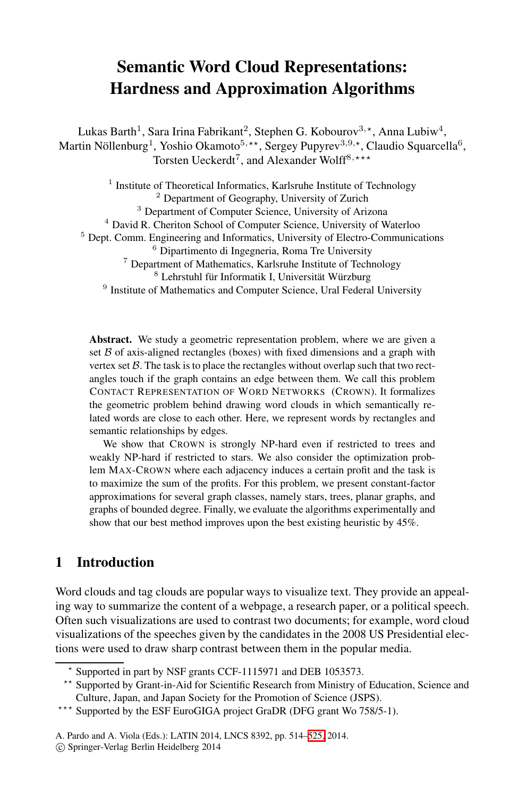# **Semantic Word Cloud Representations: Hardness and Approximation Algorithms**

Lukas Barth $^1$ , Sara Irina Fabrikant $^2$ , Stephen G. Kobourov $^{3,\star}$ , Anna Lubiw $^4,$ Martin Nöllenburg<sup>1</sup>, Yoshio Okamoto<sup>5,\*\*</sup>, Sergey Pupyrev<sup>3,9,\*</sup>, Claudio Squarcella<sup>6</sup>, Torsten Ueckerdt<sup>7</sup>, and Alexander Wolff<sup>8,\*\*\*</sup>

<sup>1</sup> Institute of Theoretical Informatics, Karlsruhe Institute of Technology <sup>2</sup> Department of Geography, University of Zurich <sup>3</sup> Department of Computer Science, University of Arizona <sup>4</sup> David R. Cheriton School of Computer Science, University of Waterloo <sup>5</sup> Dept. Comm. Engineering and Informatics, University of Electro-Communications <sup>6</sup> Dipartimento di Ingegneria, Roma Tre University <sup>7</sup> Department of Mathematics, Karlsruhe Institute of Technology <sup>8</sup> Lehrstuhl für Informatik I, Universität Würzburg <sup>9</sup> Institute of Mathematics and Computer Science, Ural Federal University

**Abstract.** We study a geometric representation problem, where we are given a set  $B$  of axis-aligned rectangles (boxes) with fixed dimensions and a graph with vertex set  $\beta$ . The task is to place the rectangles without overlap such that two rectangles touch if the graph contains an edge between them. We call this problem CONTACT REPRESENTATION OF WORD NETWORKS (CROWN). It formalizes the geometric problem behind drawing word clouds in which semantically related words are close to each other. Here, we represent words by rectangles and semantic relationships by edges.

We show that CROWN is strongly NP-hard even if restricted to trees and weakly NP-hard if restricted to stars. We also consider the optimization problem MAX-CROWN where each adjacency induces a certain profit and the task is to maximize the sum of the profits. For this problem, we present constant-factor approximations for several graph classes, namely stars, trees, planar graphs, and graphs of bounded degree. Finally, we evaluate the algorithms experimentally and show that our best method improves upon the best existing heuristic by 45%.

# **1 Introduction**

Word clouds and tag clouds are popular ways to visualize text. They provide an appealing way to summarize the content of a webpage, a research paper, or a political speech. Often such visualizations are use[d to](#page-11-0) contrast two documents; for example, word cloud visualizations of the speeches given by the candidates in the 2008 US Presidential elections were used to draw sharp contrast between them in the popular media.

<sup>-</sup> Supported in part by NSF grants CCF-1115971 and DEB 1053573.

<sup>\*\*</sup> Supported by Grant-in-Aid for Scientific Research from Ministry of Education, Science and Culture, Japan, and Japan Society for the Promotion of Science (JSPS).

<sup>\*\*\*</sup> Supported by the ESF EuroGIGA project GraDR (DFG grant Wo 758/5-1).

A. Pardo and A. Viola (Eds.): LATIN 2014, LNCS 8392, pp. 514–525, 2014.

<sup>-</sup>c Springer-Verlag Berlin Heidelberg 2014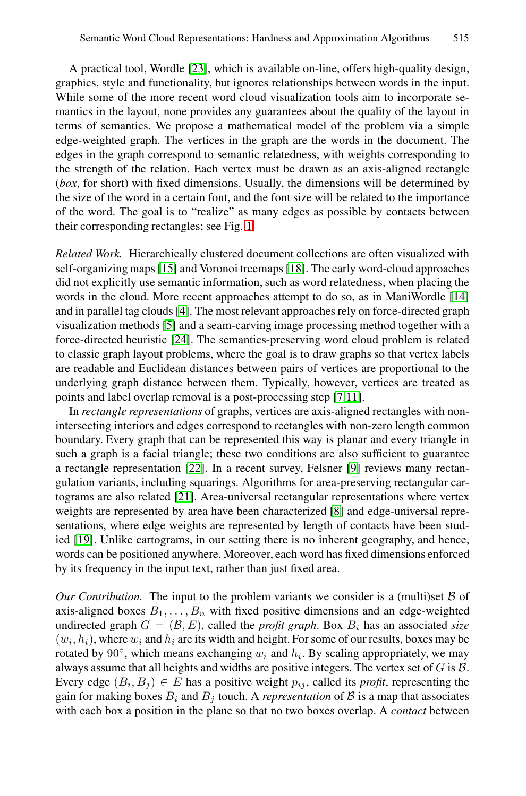A practical tool, Wordle [23], which is available on-line, offers high-quality design, graphics, style and functionality, but ignores relationships between words in the input. While some of the more recent word cloud visualization tools aim to incorporate semantics in the layo[ut,](#page-2-0) none provides any guarantees about the quality of the layout in terms of semantics. We propose a mathematical model of the problem via a simple edge-weighted graph. The vertices in the graph are the words in the document. The ed[ges](#page-11-1) in the graph correspo[nd to](#page-11-2) semantic relatedness, with weights corresponding to the strength of the relation. Each vertex must be drawn as an axis-aligned rectangle (*box*, for short) with fixed dimensions. Usually, the dimension[s wi](#page-11-3)ll be determined by the si[ze](#page-11-4) of the word in a certain font, and the font size will be related to the importance of [the](#page-11-5) word. The goal is to "realize" as many edges as possible by contacts between their [cor](#page-11-6)responding rectangles; see Fig. 1.

*Related Work.* Hierarchically clustered document collections are often visualized with self-organizing maps [15] and Voronoi treemaps [18]. The early word-cloud approaches did not explicitly use semantic informa[tio](#page-11-7)[n, s](#page-11-8)uch as word relatedness, when placing the words in the cloud. More recent approaches attempt to do so, as in ManiWordle [14] and in parallel tag clouds [4]. The most relevant approaches rely on force-directed graph visualization methods [5] and a seam-carving image processing method together with a force-directed heuristic [24]. The semantics-preserving word cloud problem is related to classi[c gr](#page-11-9)aph layout problems, where t[he](#page-11-10) goal is to draw graphs so that vertex labels are readable and Euclidean distances between pairs of vertices are proportional to the under[lyin](#page-11-11)g graph distance between them. Typically, however, vertices are treated as points and label overlap removal is a p[os](#page-11-12)t-processing step [7,11].

In *rectangle representations* of graphs, vertices are axis-aligned rectangles with nonintersecting interiors and edges correspond to rectangles with non-zero length common boundary. Every graph that can be represented this way is planar and every triangle in such a graph is a facial triangle; these two conditions are also sufficient to guarantee a rectangle representation [22]. In a recent survey, Felsner [9] reviews many rectangulation variants, including squarings. Algorithms for area-preserving rectangular cartograms are also related [21]. Area-universal rectangular representations where vertex weights are represented by area have been characterized [8] and edge-universal representations, where edge weights are represented by length of contacts have been studied [19]. Unlike cartograms, in our setting there is no inherent geography, and hence, words can be positioned anywhere. Moreover, each word has fixed dimensions enforced by its frequency in the input text, rather than just fixed area.

*Our Contribution.* The input to the problem variants we consider is a (multi)set B of axis-aligned boxes  $B_1, \ldots, B_n$  with fixed positive dimensions and an edge-weighted undirected graph  $G = (\mathcal{B}, E)$ , called the *profit graph*. Box  $B_i$  has an associated *size*  $(w_i, h_i)$ , where  $w_i$  and  $h_i$  are its width and height. For some of our results, boxes may be rotated by 90 $\degree$ , which means exchanging  $w_i$  and  $h_i$ . By scaling appropriately, we may always assume that all heights and widths are positive integers. The vertex set of  $G$  is  $B$ . Every edge  $(B_i, B_j) \in E$  has a positive weight  $p_{ij}$ , called its *profit*, representing the gain for making boxes  $B_i$  and  $B_j$  touch. A *representation* of  $\beta$  is a map that associates with each box a position in the plane so that no two boxes overlap. A *contact* between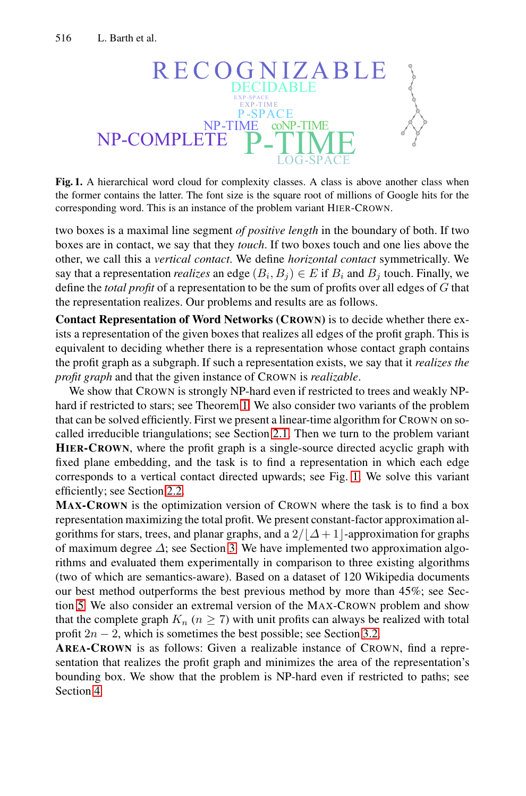<span id="page-2-0"></span>

**Fig. 1.** A hierarchical word cloud for complexity classes. A class is above another class when the former contains the latter. The font size is the square root of millions of Google hits for the corresponding word. This is an instance of the problem variant HIER-CROWN.

two boxes is a maximal line segment *of positive length* in the boundary of both. If two boxes are in contact, we say that they *touch*. If two boxes touch and one lies above the other, we call this a *vertical contact*. We define *horizontal contact* symmetrically. We say that a representation *realizes* an edge  $(B_i, B_j) \in E$  if  $B_i$  and  $B_j$  touch. Finally, we define the *total profit* of a representation to be the sum of profits over all edges of G that the representation [rea](#page-3-0)lizes. Our problems and results are as follows.

**Contact Representation [of W](#page-4-0)ord Networks (CROWN)** is to decide whether there exists a representation of the given boxes that realizes all edges of the profit graph. This is equivalent to deciding whether there is a representation whose contact graph contains the profit graph as a subgraph. If such a re[pre](#page-2-0)sentation exists, we say that it *realizes the pro[fit g](#page-5-0)raph* and that the given instance of CROWN is *realizable*.

We show that CROWN is strongly NP-hard even if restricted to trees and weakly NPhard if restricted to stars; see Theorem 1. We also consider two variants of the problem that can be solved efficiently. First we present a linear-time algorithm for CROWN on socalled irreducib[le](#page-6-0) triangulations; see Section 2.1. Then we turn to the problem variant **HIER-CROWN**, where the profit graph is a single-source directed acyclic graph with fixed plane embedding, and the task is to find a representation in which each edge corresponds to a vertical contact directed upwards; see Fig. 1. We solve this variant efficiently; see Section 2.2.

**MAX-CROWN** is the optimization version of CROWN where the task is to find a box representation maximizing the total profit. W[e pre](#page-8-0)sent constant-factor approximation algorithms for stars, trees, and planar graphs, and a  $2/|\Delta+1|$ -approximation for graphs of maximum degree  $\Delta$ ; see Section 3. We have implemented two approximation algorithms and evaluated them experimentally in comparison to three existing algorithms (two of which are semantics-aware). Based on a dataset of 120 Wikipedia documents our best method outperforms the best previous method by more than 45%; see Section 5. We also consider an extremal version of the MAX-CROWN problem and show that the complete graph  $K_n$  ( $n \geq 7$ ) with unit profits can always be realized with total profit  $2n - 2$ , which is sometimes the best possible; see Section 3.2.

**AREA-CROWN** is as follows: Given a realizable instance of CROWN, find a representation that realizes the profit graph and minimizes the area of the representation's bounding box. We show that the problem is NP-hard even if restricted to paths; see Section 4.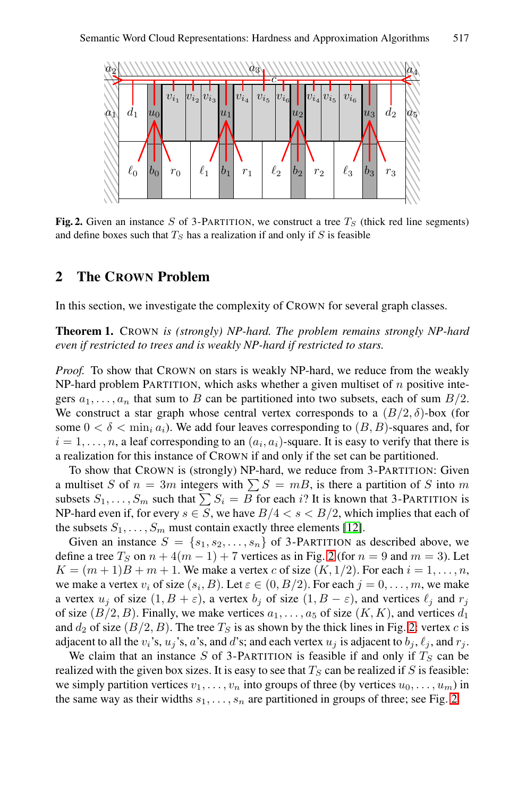<span id="page-3-1"></span><span id="page-3-0"></span>

**Fig. 2.** Given an instance *S* of 3-PARTITION, we construct a tree  $T<sub>S</sub>$  (thick red line segments) and define boxes such that  $T_S$  has a realization if and only if  $S$  is feasible

## **2 The CROWN Problem**

In this section, we investigate the complexity of CROWN for several graph classes.

**Theorem 1.** CROWN *is (strongly) NP-hard. The problem remains strongly NP-hard even if restricted to trees and is weakly NP-hard if restricted to stars.*

*Proof.* To show that CROWN on stars is weakly NP-hard, we reduce from the weakly NP-hard problem PARTITION, which asks whether a given multiset of  $n$  positive integers  $a_1, \ldots, a_n$  that sum to B can be partitioned into two subsets, each of sum  $B/2$ . We construct a star graph whose centr[al v](#page-11-13)ertex corresponds to a  $(B/2, \delta)$ -box (for some  $0 < \delta < \min_i a_i$ ). We add four leaves corresponding to  $(B, B)$ -squares and, for  $i = 1, \ldots, n$ , a leaf corresponding to [an](#page-3-1)  $(a_i, a_i)$ -square. It is easy to verify that there is a realization for this instance of CROWN if and only if the set can be partitioned.

To show that CROWN is (strongly) NP-hard, we reduce from 3-PARTITION: Given a multiset S of  $n = 3m$  integers with  $\sum S = mB$ , is there a partition of S into m<br>subsets S, S such that  $\sum S_i = B$  for each i? It is known that 3-PARTITION is subsets  $S_1, \ldots, S_m$  such that  $\sum S_i = B$  for each i? It is known that 3-PARTITION is<br>NP-hard even if for every  $s \in S$  we have  $B/A < s < B/2$  which implies that each of NP-hard even if, for every  $s \in \overline{S}$ , we have  $B/4 < s < B/2$  $B/4 < s < B/2$  $B/4 < s < B/2$ , which implies that each of the subsets  $S_1$ ,  $S_2$  must contain exactly three elements [12] the subsets  $S_1, \ldots, S_m$  must contain exactly three elements [12].

Given an instance  $S = \{s_1, s_2, \ldots, s_n\}$  of 3-PARTITION as described above, we define a tree  $T_S$  on  $n + 4(m - 1) + 7$  vertices as in Fig. 2 (for  $n = 9$  and  $m = 3$ ). Let  $K = (m+1)B + m + 1$ . We make a vertex c of size  $(K, 1/2)$ . For each  $i = 1, \ldots, n$ , we make a vertex  $v_i$  of size  $(s_i, B)$ . Let  $\varepsilon \in (0, B/2)$ . For each  $j = 0, \ldots, m$  $j = 0, \ldots, m$ , we make a vertex  $u_i$  of size  $(1, B + \varepsilon)$ , a vertex  $b_i$  of size  $(1, B - \varepsilon)$ , and vertices  $\ell_i$  and  $r_i$ of size  $(B/2, B)$ . Finally, we make vertices  $a_1, \ldots, a_5$  of size  $(K, K)$ , and vertices  $d_1$ and  $d_2$  of size  $(B/2, B)$ . The tree  $T<sub>S</sub>$  is as shown by the thick lines in Fig. 2: vertex c is adjacent to all the  $v_i$ 's,  $u_j$ 's, a's, and d's; and each vertex  $u_j$  is adjacent to  $b_j$ ,  $\ell_j$ , and  $r_j$ .

We claim that an instance S of 3-PARTITION is feasible if and only if  $T<sub>S</sub>$  can be realized with the given box sizes. It is easy to see that  $T<sub>S</sub>$  can be realized if S is feasible: we simply partition vertices  $v_1, \ldots, v_n$  into groups of three (by vertices  $u_0, \ldots, u_m$ ) in the same way as their widths  $s_1, \ldots, s_n$  are partitioned in groups of three; see Fig. 2.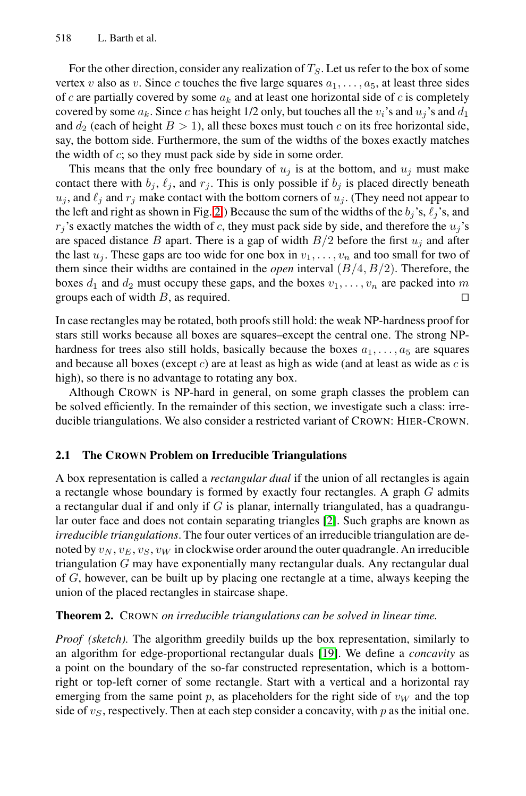For the other direction, consider any realization of  $T_S$ . Let us refer to the box of some vertex v also as v. Since c touches the five large squares  $a_1, \ldots, a_5$ , at least three sides of c are parti[ally](#page-3-1) covered by some  $a_k$  and at least one horizontal side of c is completely covered by some  $a_k$ . Since c has height 1/2 only, but touches all the  $v_i$ 's and  $u_j$ 's and  $d_1$ and  $d_2$  (each of height  $B > 1$ ), all these boxes must touch c on its free horizontal side, say, the bottom side. Furthermore, the sum of the widths of the boxes exactly matches the width of  $c$ ; so they must pack side by side in some order.

<span id="page-4-0"></span>This means that the only free boundary of  $u_j$  is at the bottom, and  $u_j$  must make contact there with  $b_j$ ,  $\ell_j$ , and  $r_j$ . This is only possible if  $b_j$  is placed directly beneath  $u_j$ , and  $\ell_j$  and  $r_j$  make contact with the bottom corners of  $u_j$ . (They need not appear to the left and right as shown in Fig. 2.) Because the sum of the widths of the  $b_i$ 's,  $\ell_i$ 's, and  $r_i$ 's exactly matches the width of c, they must pack side by side, and therefore the  $u_i$ 's are spaced distance B apart. There is a gap of width  $B/2$  before the first  $u_i$  and after the last  $u_j$ . These gaps are too wide for one box in  $v_1, \ldots, v_n$  and too small for two of them since their widths are contained in the *open* interval  $(B/4, B/2)$ . Therefore, the boxes  $d_1$  and  $d_2$  must occupy these gaps, and the boxes  $v_1, \ldots, v_n$  are packed into m groups each of width B, as required.  $\square$ 

In case rectangles may be rotated, both proofs still hold: the weak NP-hardness proof for stars still works because all boxes are squares–except the central one. The strong NPhardness for trees also still holds, basically because the boxes  $a_1, \ldots, a_5$  are squares and because all boxes (except  $c$ ) are at least as high as wide (and at least as wide as  $c$  is high), so there is no advantage to rotating any box.

Although CROWN is NP-hard in general, on some graph classes the problem can be solved efficiently. In the remaind[er o](#page-11-14)f this section, we investigate such a class: irreducible triangulations. We also consider a restricted variant of CROWN: HIER-CROWN.

#### **2.1 The CROWN Problem on Irreducible Triangulations**

A box representation is called a *rectangular dual* if the union of all rectangles is again a rectangle whose boundary is formed by exactly four rectangles. A graph  $G$  admits a rectangular dual if and only if  $G$  is planar, internally triangulated, has a quadrangular outer face and does not contain separating triangles [2]. Such graphs are known as *irreducible triangulations*. The four outer vertices of an irreducible triangulation are den[o](#page-11-15)ted by  $v_N, v_E, v_S, v_W$  in clockwi[se](#page-11-15) order around the outer quadrangle. An irreducible triangulation G may have exponentially many rectangular duals. Any rectangular dual of  $G$ , however, can be built up by placing one rectangle at a time, always keeping the union of the placed rectangles in staircase shape.

#### **Theorem 2.** CROWN *on irreducible triangulations can be solved in linear time.*

*Proof (sketch)*. The algorithm greedily builds up the box representation, similarly to an algorithm for edge-proportional rectangular duals [19]. We define a *concavity* as a point on the boundary of the so-far constructed representation, which is a bottomright or top-left corner of some rectangle. Start with a vertical and a horizontal ray emerging from the same point p, as placeholders for the right side of  $v_W$  and the top side of  $v<sub>S</sub>$ , respectively. Then at each step consider a concavity, with p as the initial one.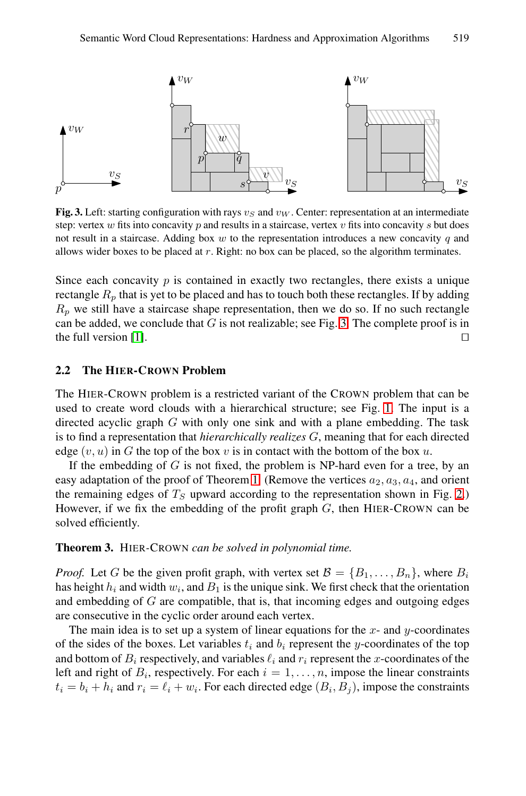<span id="page-5-1"></span>

<span id="page-5-0"></span>**Fig. 3.** Left: starting configuration with rays  $v_S$  $v_S$  and  $v_W$ . Center: representation at an intermediate step: vertex *w* fits into concavity *p* and results in a staircase, vertex *v* fits into concavity *s* but does not result in a staircase. Adding box *w* to the representation introduces a new concavity *q* and allows wider boxes to be placed at *r*. Right: no box can be placed, so the algorithm terminates.

Since each concavity  $p$  is contained in exactly two rectangles, there exists a unique rectangle  $R_p$  that is yet to be placed and has to to[uch](#page-2-0) both these rectangles. If by adding  $R_p$  we still have a staircase shape representation, then we do so. If no such rectangle can be added, we conclude that  $G$  is not realizable; see Fig. 3. The complete proof is in the full version [1].  $\Box$ 

#### **2.2 The HIER-CR[OW](#page-3-0)N Problem**

The HIER-CROWN problem is a restricted variant of the CRO[WN](#page-3-1) problem that can be used to create word clouds with a hierarchical structure; see Fig. 1. The input is a directed acyclic graph G with only one sink and with a plane embedding. The task is to find a representation that *hierarchically realizes* G, meaning that for each directed edge  $(v, u)$  in G the top of the box v is in contact with the bottom of the box u.

If the embedding of  $G$  is not fixed, the problem is NP-hard even for a tree, by an easy adaptation of the proof of Theorem 1. (Remove the vertices  $a_2, a_3, a_4$ , and orient the remaining edges of  $T<sub>S</sub>$  upward according to the representation shown in Fig. 2.) However, if we fix the embedding of the profit graph  $G$ , then HIER-CROWN can be solved efficiently.

#### **Theorem 3.** HIER*-*CROWN *can be solved in polynomial time.*

*Proof.* Let G be the given profit graph, with vertex set  $\mathcal{B} = \{B_1, \ldots, B_n\}$ , where  $B_i$ has height  $h_i$  and width  $w_i$ , and  $B_1$  is the unique sink. We first check that the orientation and embedding of  $G$  are compatible, that is, that incoming edges and outgoing edges are consecutive in the cyclic order around each vertex.

The main idea is to set up a system of linear equations for the  $x$ - and  $y$ -coordinates of the sides of the boxes. Let variables  $t_i$  and  $b_i$  represent the y-coordinates of the top and bottom of  $B_i$  respectively, and variables  $\ell_i$  and  $r_i$  represent the x-coordinates of the left and right of  $B_i$ , respectively. For each  $i = 1, \ldots, n$ , impose the linear constraints  $t_i = b_i + h_i$  and  $r_i = \ell_i + w_i$ . For each directed edge  $(B_i, B_j)$ , impose the constraints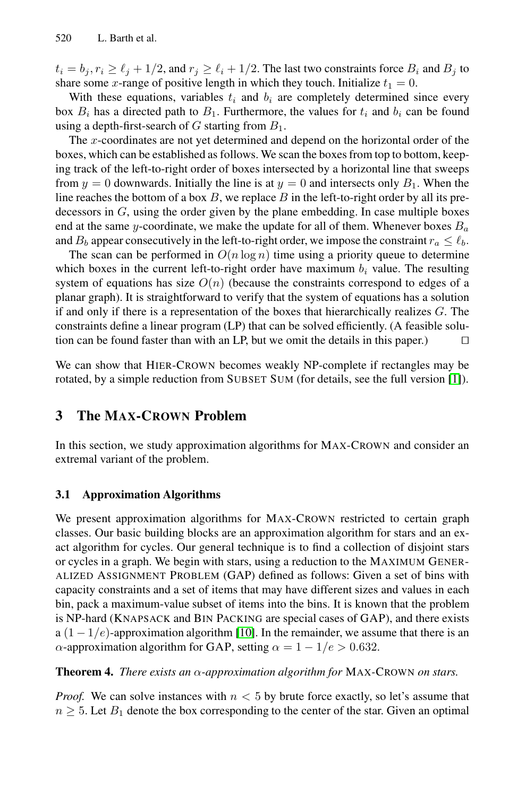$t_i = b_j, r_i \ge \ell_j + 1/2$ , and  $r_j \ge \ell_i + 1/2$ . The last two constraints force  $B_i$  and  $B_j$  to share some x-range of positive length in which they touch. Initialize  $t_1 = 0$ .

With these equations, variables  $t_i$  and  $b_i$  are completely determined since every box  $B_i$  has a directed path to  $B_1$ . Furthermore, the values for  $t_i$  and  $b_i$  can be found using a depth-first-search of G starting from  $B_1$ .

<span id="page-6-0"></span>The x-coordinates are not yet determined and depend on the horizontal order of the boxes, which can be established as follows. We scan the boxes from top to bottom, keeping track of the left-to-right order of boxes intersected by a horizontal line that sweeps from  $y = 0$  downwards. Initially the line is at  $y = 0$  and intersects only  $B_1$ . When the line reaches the bottom of a box  $B$ , we replace  $B$  in the left-to-right order by all its predecessors in  $G$ , using the order given by the plane embedding. In case multiple boxes end at the same y-coordinate, we make the update for all of them. Whenever boxes  $B_a$ and  $B_b$  appear consecutively in the left-to-right order, we impose the constraint  $r_a \leq \ell_b$ .

The scan can be performed in  $O(n \log n)$  time using a priority queue to determine which [b](#page-10-0)oxes in the current left-to-right order have maximum  $b_i$  value. The resulting system of equations has size  $O(n)$  (because the constraints correspond to edges of a planar graph). It is straightforward to verify that the system of equations has a solution if and only if there is a representation of the boxes that hierarchically realizes G. The constraints define a linear program (LP) that can be solved efficiently. (A feasible solution can be found faster than with an LP, but we omit the details in this paper.)  $\Box$ 

We can show that HIER-CROWN becomes weakly NP-complete if rectangles may be rotated, by a simple reduction from SUBSET SUM (for details, see the full version [1]).

### **3 The MAX-CROWN Problem**

<span id="page-6-1"></span>In this section, we study approximation algorithms for MAX-CROWN and consider an extremal variant of the problem.

#### **3.1 Approximation Algorithms**

We present appro[xim](#page-11-16)ation algorithms for MAX-CROWN restricted to certain graph classes. Our basic building blocks are an approximation algorithm for stars and an exact algorithm for cycles. Our general technique is to find a collection of disjoint stars or cycles in a graph. We begin with stars, using a reduction to the MAXIMUM GENER-ALIZED ASSIGNMENT PROBLEM (GAP) defined as follows: Given a set of bins with capacity constraints and a set of items that may have different sizes and values in each bin, pack a maximum-value subset of items into the bins. It is known that the problem is NP-hard (KNAPSACK and BIN PACKING are special cases of GAP), and there exists a  $(1 - 1/e)$ -approximation algorithm [10]. In the remainder, we assume that there is an  $\alpha$ -approximation algorithm for GAP, setting  $\alpha = 1 - 1/e > 0.632$ .

**Theorem 4.** *There exists an* α*-approximation algorithm for* MAX*-*CROWN *on stars.*

*Proof.* We can solve instances with  $n < 5$  by brute force exactly, so let's assume that  $n \geq 5$ . Let  $B_1$  denote the box corresponding to the center of the star. Given an optimal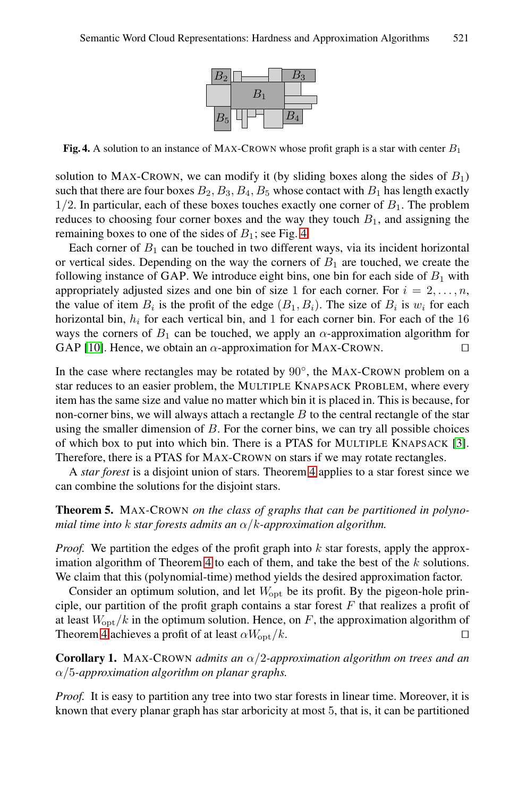

**Fig. 4.** A solution to an instance of MAX-CROWN whose profit graph is a star with center *B*<sup>1</sup>

solution to MAX-CROWN, we can modify it (by sliding boxes along the sides of  $B_1$ ) such that there are four boxes  $B_2, B_3, B_4, B_5$  whose contact with  $B_1$  has length exactly  $1/2$ . In particular, each of these boxes touches exactly one corner of  $B_1$ . The problem reduces to choosing four corner boxes and the way they touch  $B_1$ , and assigning the remaining boxes to one of the sides of  $B_1$ ; see Fig. 4.

<span id="page-7-0"></span>Each corner of  $B_1$  can be touched in two different ways, via its incident horizontal or vertical sides. Depending on the way the corners of  $B_1$  are touched, we create the following instance of GAP. We introduce eight bins, one bin for each side of  $B_1$  with appropriately adjusted sizes and one bin of size 1 for each corner. For  $i = 2, \ldots, n$ , the value of item  $B_i$  is the profit of the edge  $(B_1, B_i)$ . The size of  $B_i$  is  $w_i$  for each horizontal bin,  $h_i$  for each vertical bin, and 1 for each corner bin. For each of the 16 ways the corners of  $B_1$  can be touched, we apply an  $\alpha$ -appro[xim](#page-11-17)ation algorithm for GAP [10]. Hence, we obtain an  $\alpha$ -approximation for MAX-CROWN.

In the case where rectangles ma[y](#page-6-1) [b](#page-6-1)e rotated by 90◦, the MAX-CROWN problem on a star reduces to an easier problem, the MULTIPLE KNAPSACK PROBLEM, where every item has the same size and value no matter which bin it is placed in. This is because, for non-corner bins, we will always attach a rectangle  $B$  to the central rectangle of the star using the smaller dimension of  $B$ . For the corner bins, we can try all possible choices of which box to put into which bin. There is a PTAS for MULTIPLE KNAPSACK [3]. Therefore, [the](#page-6-1)re is a PTAS for MAX-CROWN on stars if we may rotate rectangles.

A *star forest* is a disjoint union of stars. Theorem 4 applies to a star forest since we can combine the solutions for the disjoint stars.

### **Theorem 5.** MAX*-*CROWN *on the class of graphs that can be partitioned in polynomial time into* k *star forests admits an* α/k*-approximation algorithm.*

*Proof.* We partition the edges of the profit graph into k star forests, apply the approximation algorithm of Theorem 4 to each of them, and take the best of the  $k$  solutions. We claim that this (polynomial-time) method yields the desired approximation factor.

Consider an optimum solution, and let  $W_{\text{opt}}$  be its profit. By the pigeon-hole principle, our partition of the profit graph contains a star forest  $F$  that realizes a profit of at least  $W_{\text{opt}}/k$  in the optimum solution. Hence, on F, the approximation algorithm of Theorem 4 achieves a profit of at least  $\alpha W_{\text{opt}}/k$ .

**Corollary 1.** MAX*-*CROWN *admits an* α/2*-approximation algorithm on trees and an* α/5*-approximation algorithm on planar graphs.*

*Proof.* It is easy to partition any tree into two star forests in linear time. Moreover, it is known that every planar graph has star arboricity at most 5, that is, it can be partitioned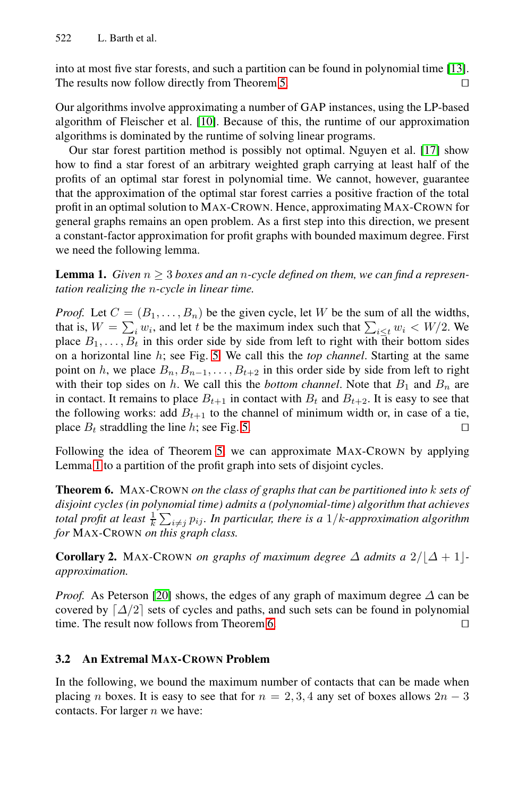<span id="page-8-2"></span>into at most five star forests, and such a partition can be found in polynomial time [13]. The results now follow directly from Theorem 5.

Our algorithms involve approximating a number of GAP instances, using the LP-based algorithm of Fleischer et al. [10]. Because of this, the runtime of our approximation algorithms is dominated by the runtime of solving linear programs.

Our star forest partition method is possibly not optimal. Nguyen et al. [17] show how to find a star forest of an arbitrary weighted graph carrying at least half of the profits of an optimal star forest in polynomial time. We cannot, however, guarantee that the approximation of the optimal star forest carries a positive fraction of the total profit in an optimal solution to MAX-CROWN. Hence, approximating MAX-CROWN for general graphs remains an open problem. As a first step into this direction, we present a constant-factor approximation for profit graphs with bounded maximum degree. First we need the [fol](#page-9-0)lowing lemma.

<span id="page-8-1"></span>**Lemma 1.** *Given*  $n \geq 3$  *boxes and an n*-cycle defined on them, we can find a represen*tation realizing the* n*-cycle in linear time.*

*Proof.* Let  $C = (B_1, \ldots, B_n)$  $C = (B_1, \ldots, B_n)$  $C = (B_1, \ldots, B_n)$  be the given cycle, let W be the sum of all the widths, that is,  $W = \sum_i w_i$ , and let t be the maximum index such that  $\sum_{i \le t} w_i < W/2$ . We place  $R_i$ . place  $B_1, \ldots, B_t$  in this order side by side from left to right with their bottom sides on a horizontal line h; see Fig. 5. We call this the *top channel*. Starting at the same point on h, we place  $B_n, B_{n-1},...,B_{t+2}$  in this order side by side from left to right with their top sides on  $h$ . We call this the *bottom channel*. Note that  $B_1$  and  $B_n$  are in contact. It remains to place  $B_{t+1}$  in contact with  $B_t$  and  $B_{t+2}$ . It is easy to see that the following works: add  $B_{t+1}$  to the channel of minimum width or, in case of a tie, place  $B_t$  straddling the line h; see Fig. 5.

<span id="page-8-0"></span>Following the idea of Theorem 5, we can approximate MAX-CROWN by applying Lemma 1 to a partition of the profit graph into sets of disjoint cycles.

**[Theo](#page-11-18)rem 6.** MAX*-*CROWN *on the class of graphs that can be partitioned into* k *sets of disjoint cycles (in polyn[om](#page-8-1)ial time) admits a (polynomial-time) algorithm that achieves total profit at least*  $\frac{1}{k} \sum_{i \neq j} p_{ij}$ *. In particular, there is a 1/k-approximation algorithm* for MAX-CPOWN on this graph class *for* MAX*-*CROWN *on this graph class.*

**Corollary 2.** MAX-CROWN *on graphs of maximum degree*  $\Delta$  *admits a*  $2/|\Delta + 1|$ *approximation.*

*Proof.* As Peterson [20] shows, the edges of any graph of maximum degree  $\Delta$  can be covered by  $\lceil \Delta/2 \rceil$  sets of cycles and paths, and such sets can be found in polynomial time. The result now follows from Theorem 6 time. The result now follows from Theorem 6.

#### **3.2 An Extremal MAX-CROWN Problem**

In the following, we bound the maximum number of contacts that can be made when placing n boxes. It is easy to see that for  $n = 2, 3, 4$  any set of boxes allows  $2n - 3$ contacts. For larger  $n$  we have: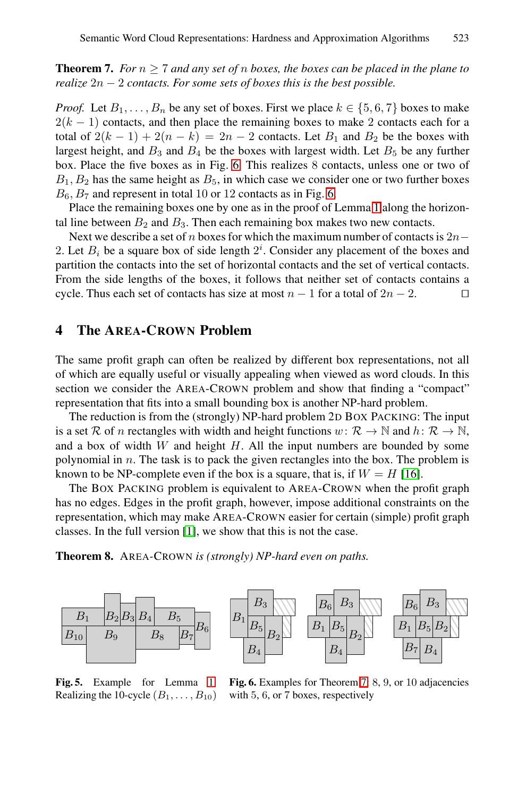**Theorem 7.** *For*  $n \geq 7$  $n \geq 7$  *and any set of* n *boxes, the boxes can be placed in the plane to realize* 2<sup>n</sup> <sup>−</sup> 2 *contacts. For some set[s o](#page-9-0)f boxes this is the best possible.*

*Proof.* Let  $B_1, \ldots, B_n$  be any set of boxes. Fi[rst](#page-8-2) we place  $k \in \{5, 6, 7\}$  boxes to make  $2(k - 1)$  contacts, and then place the remaining boxes to make 2 contacts each for a total of  $2(k-1) + 2(n-k) = 2n - 2$  contacts. Let  $B_1$  and  $B_2$  be the boxes with largest height, and  $B_3$  and  $B_4$  be the boxes with largest width. Let  $B_5$  be any further box. Place the five boxes as in Fig. 6. This realizes 8 contacts, unless one or two of  $B_1, B_2$  has the same height as  $B_5$ , in which case we consider one or two further boxes  $B_6$ ,  $B_7$  and represent in total 10 or 12 contacts as in Fig. 6.

Place the remaining boxes one by one as in the proof of Lemma 1 along the horizontal line between  $B_2$  and  $B_3$ . Then each remaining box makes two new contacts.

Next we describe a set of n boxes for which the maximum number of contacts is  $2n-$ 2. Let  $B_i$  be a square box of side length  $2^i$ . Consider any placement of the boxes and partition the contacts into the set of borizontal contacts and the set of vertical contacts partition the contacts into the set of horizontal contacts and the set of vertical contacts. From the side lengths of the boxes, it follows that neither set of contacts contains a cycle. Thus each set of contacts has size at most  $n - 1$  for a total of  $2n - 2$ .

# **4 The AREA-CROWN Problem**

<span id="page-9-0"></span>The same profit graph can often be realized by diff[eren](#page-11-19)t box representations, not all of which are equally useful or visually appealing when viewed as word clouds. In this section we consider the AREA-CROWN problem and show that finding a "compact" representation that fits into a small bounding box is another NP-hard problem.

The [red](#page-10-0)uction is from the (strongly) NP-hard problem 2D BOX PACKING: The input is a set R of n rectangles with width and height functions  $w: \mathcal{R} \to \mathbb{N}$  and  $h: \mathcal{R} \to \mathbb{N}$ , and a box of width  $W$  and height  $H$ . All the input numbers are bounded by some polynomial in  $n$ . The task is to pack the given rectangles into the box. The problem is known to be NP-complete even if the box is a square, that is, if  $W = H$  [16].

The BOX PACKING problem is equivalent to AREA-CROWN when the profit graph has no edges. Edges in the profit graph, however, impose additional constraints on the representation, which may make AREA-CROWN easier for certain (simple) profit graph classes. In the full version [1], we show that this is not the case.





**Fig. 5.** Example for Lemma 1: Realizing the 10-cycle  $(B_1, \ldots, B_{10})$ 

**Fig. 6.** Examples for Theorem 7: 8, 9, or 10 adjacencies with 5, 6, or 7 boxes, respectively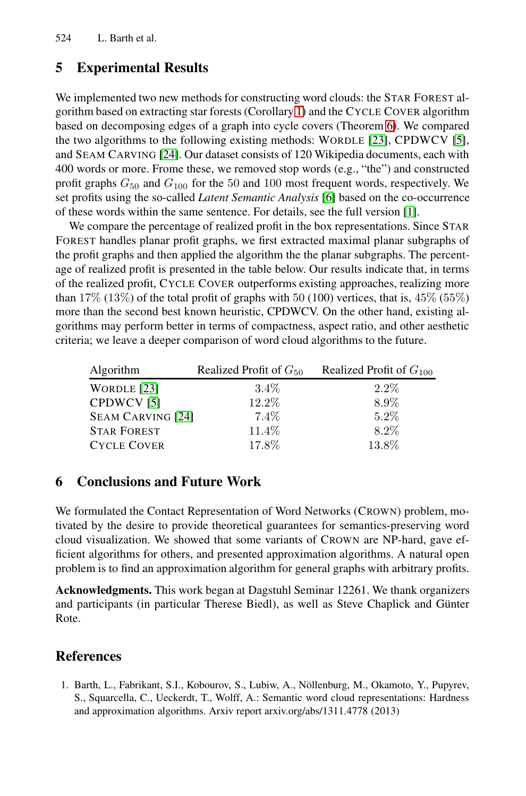# **5 Experimental Results**

We implemented two new methods f[or](#page-11-20) constructing w[or](#page-10-0)d clouds: the STAR FOREST algorithm based on extracting star forests (Corollary 1) and the CYCLE COVER algorithm based on decomposing edges of a graph into cycle covers (Theorem 6). We compared the two algorithms to the following existing methods: WORDLE [23], CPDWCV [5], and SEAM CARVING [24]. Our dataset consists of 120 Wikipedia documents, each with 400 words or more. Frome these, we removed stop words (e.g., "the") and constructed profit graphs  $G_{50}$  and  $G_{100}$  for the 50 and 100 most frequent words, respectively. We set profits using the so-called *Latent Semantic Analysis* [6] based on the co-occurrence of these words within the same sentence. For details, see the full version [1].

We compare the percentage of realized profit in the box representations. Since STAR FOREST handles planar profit graphs, we first extracted maximal planar subgraphs of the profit graphs and then applied the algorithm the the planar subgraphs. The percentage of realized profit is presented in the table below. Our results indicate that, in terms [of](#page-11-21) the realized profit, CYCLE COVER outperforms existing approaches, realizing more [th](#page-11-5)an  $17\%$  ( $13\%$ ) of the total profit of graphs with 50 (100) vertices, that is,  $45\%$  ( $55\%$ ) more than the second best known heuristic, CPDWCV. On the other hand, existing algorithms may perform better in terms of compactness, aspect ratio, and other aesthetic criteria; we leave a deeper comparison of word cloud algorithms to the future.

| Algorithm                | Realized Profit of $G_{50}$ | Realized Profit of $G_{100}$ |
|--------------------------|-----------------------------|------------------------------|
| WORDLE [23]              | $3.4\%$                     | $2.2\%$                      |
| CPDWCV <sub>[5]</sub>    | 12.2%                       | 8.9%                         |
| <b>SEAM CARVING [24]</b> | $7.4\%$                     | $5.2\%$                      |
| <b>STAR FOREST</b>       | 11.4%                       | $8.2\%$                      |
| <b>CYCLE COVER</b>       | 17.8%                       | 13.8%                        |

### <span id="page-10-0"></span>**6 Conclusions and Future Work**

We formulated the Contact Representation of Word Networks (CROWN) problem, motivated by the desire to provide theoretical guarantees for semantics-preserving word cloud visualization. We showed that some variants of CROWN are NP-hard, gave efficient algorithms for others, and presented approximation algorithms. A natural open problem is to find an approximation algorithm for general graphs with arbitrary profits.

**Acknowledgments.** This work began at Dagstuhl Seminar 12261. We thank organizers and participants (in particular Therese Biedl), as well as Steve Chaplick and Günter Rote.

### **References**

1. Barth, L., Fabrikant, S.I., Kobourov, S., Lubiw, A., Nöllenburg, M., Okamoto, Y., Pupyrev, S., Squarcella, C., Ueckerdt, T., Wolff, A.: Semantic word cloud representations: Hardness and approximation algorithms. Arxiv report arxiv.org/abs/1311.4778 (2013)